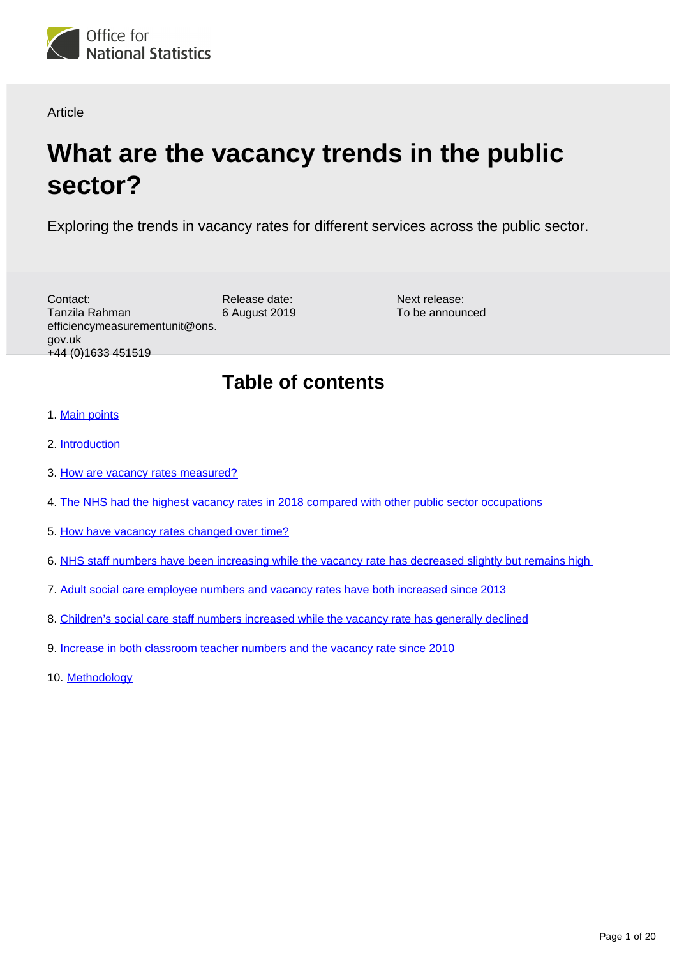

Article

# **What are the vacancy trends in the public sector?**

Exploring the trends in vacancy rates for different services across the public sector.

Release date: 6 August 2019 Contact: Tanzila Rahman efficiencymeasurementunit@ons. gov.uk +44 (0)1633 451519

Next release: To be announced

# **Table of contents**

- 1. [Main points](#page-1-0)
- 2. [Introduction](#page-1-1)
- 3. [How are vacancy rates measured?](#page-1-2)
- 4. [The NHS had the highest vacancy rates in 2018 compared with other public sector occupations](#page-2-0)
- 5. [How have vacancy rates changed over time?](#page-4-0)
- 6. [NHS staff numbers have been increasing while the vacancy rate has decreased slightly but remains high](#page-6-0)
- 7. [Adult social care employee numbers and vacancy rates have both increased since 2013](#page-8-0)
- 8. [Children's social care staff numbers increased while the vacancy rate has generally declined](#page-9-0)
- 9. [Increase in both classroom teacher numbers and the vacancy rate since 2010](#page-11-0)
- 10. [Methodology](#page-13-0)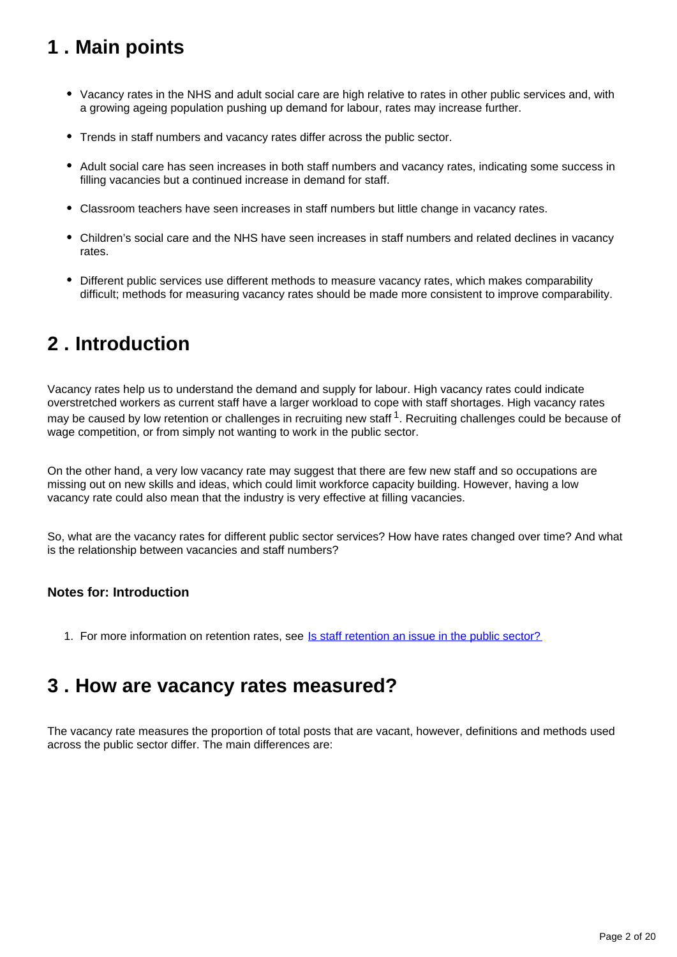# <span id="page-1-0"></span>**1 . Main points**

- Vacancy rates in the NHS and adult social care are high relative to rates in other public services and, with a growing ageing population pushing up demand for labour, rates may increase further.
- Trends in staff numbers and vacancy rates differ across the public sector.
- Adult social care has seen increases in both staff numbers and vacancy rates, indicating some success in filling vacancies but a continued increase in demand for staff.
- Classroom teachers have seen increases in staff numbers but little change in vacancy rates.
- Children's social care and the NHS have seen increases in staff numbers and related declines in vacancy rates.
- Different public services use different methods to measure vacancy rates, which makes comparability difficult; methods for measuring vacancy rates should be made more consistent to improve comparability.

# <span id="page-1-1"></span>**2 . Introduction**

Vacancy rates help us to understand the demand and supply for labour. High vacancy rates could indicate overstretched workers as current staff have a larger workload to cope with staff shortages. High vacancy rates may be caused by low retention or challenges in recruiting new staff  $1$ . Recruiting challenges could be because of wage competition, or from simply not wanting to work in the public sector.

On the other hand, a very low vacancy rate may suggest that there are few new staff and so occupations are missing out on new skills and ideas, which could limit workforce capacity building. However, having a low vacancy rate could also mean that the industry is very effective at filling vacancies.

So, what are the vacancy rates for different public sector services? How have rates changed over time? And what is the relationship between vacancies and staff numbers?

## **Notes for: Introduction**

1. For more information on retention rates, see [Is staff retention an issue in the public sector?](https://www.ons.gov.uk/economy/governmentpublicsectorandtaxes/publicspending/articles/isstaffretentionanissueinthepublicsector/2019-06-17)

## <span id="page-1-2"></span>**3 . How are vacancy rates measured?**

The vacancy rate measures the proportion of total posts that are vacant, however, definitions and methods used across the public sector differ. The main differences are: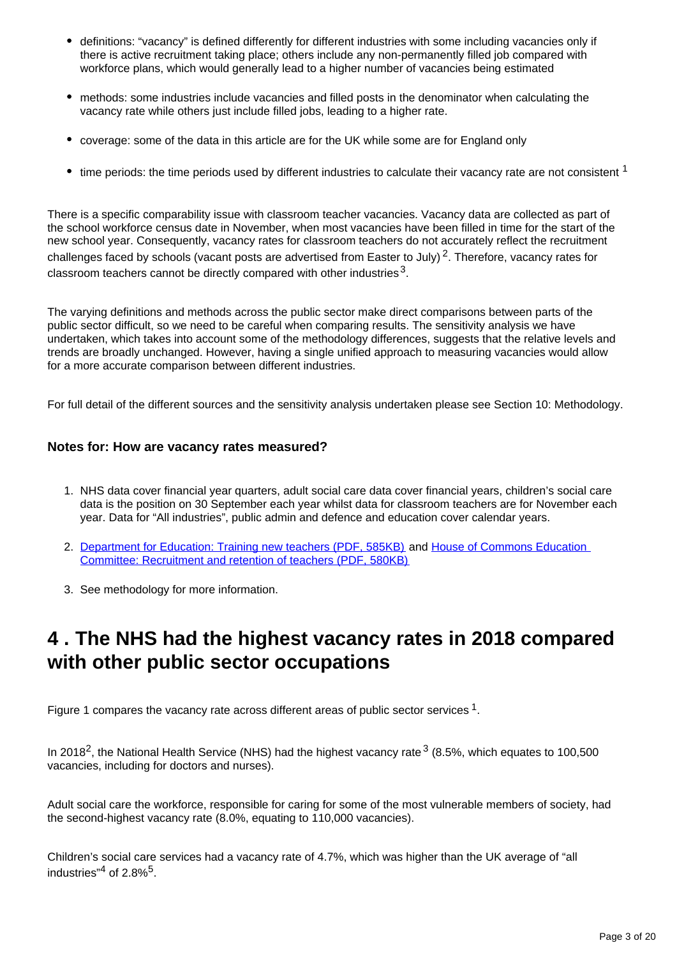- definitions: "vacancy" is defined differently for different industries with some including vacancies only if there is active recruitment taking place; others include any non-permanently filled job compared with workforce plans, which would generally lead to a higher number of vacancies being estimated
- methods: some industries include vacancies and filled posts in the denominator when calculating the vacancy rate while others just include filled jobs, leading to a higher rate.
- coverage: some of the data in this article are for the UK while some are for England only
- $\bullet$  time periods: the time periods used by different industries to calculate their vacancy rate are not consistent  $^1$

There is a specific comparability issue with classroom teacher vacancies. Vacancy data are collected as part of the school workforce census date in November, when most vacancies have been filled in time for the start of the new school year. Consequently, vacancy rates for classroom teachers do not accurately reflect the recruitment challenges faced by schools (vacant posts are advertised from Easter to July)<sup>2</sup>. Therefore, vacancy rates for classroom teachers cannot be directly compared with other industries  $^3$ .

The varying definitions and methods across the public sector make direct comparisons between parts of the public sector difficult, so we need to be careful when comparing results. The sensitivity analysis we have undertaken, which takes into account some of the methodology differences, suggests that the relative levels and trends are broadly unchanged. However, having a single unified approach to measuring vacancies would allow for a more accurate comparison between different industries.

For full detail of the different sources and the sensitivity analysis undertaken please see Section 10: Methodology.

### **Notes for: How are vacancy rates measured?**

- 1. NHS data cover financial year quarters, adult social care data cover financial years, children's social care data is the position on 30 September each year whilst data for classroom teachers are for November each year. Data for "All industries", public admin and defence and education cover calendar years.
- 2. [Department for Education: Training new teachers \(PDF, 585KB\)](https://www.nao.org.uk/wp-content/uploads/2016/02/Training-new-teachers.pdf) and House of Commons Education [Committee: Recruitment and retention of teachers \(PDF, 580KB\)](https://publications.parliament.uk/pa/cm201617/cmselect/cmeduc/199/199.pdf)
- 3. See methodology for more information.

# <span id="page-2-0"></span>**4 . The NHS had the highest vacancy rates in 2018 compared with other public sector occupations**

Figure 1 compares the vacancy rate across different areas of public sector services  $1$ .

In 2018<sup>2</sup>, the National Health Service (NHS) had the highest vacancy rate  $3$  (8.5%, which equates to 100,500 vacancies, including for doctors and nurses).

Adult social care the workforce, responsible for caring for some of the most vulnerable members of society, had the second-highest vacancy rate (8.0%, equating to 110,000 vacancies).

Children's social care services had a vacancy rate of 4.7%, which was higher than the UK average of "all industries" $4$  of 2.8% $5$ .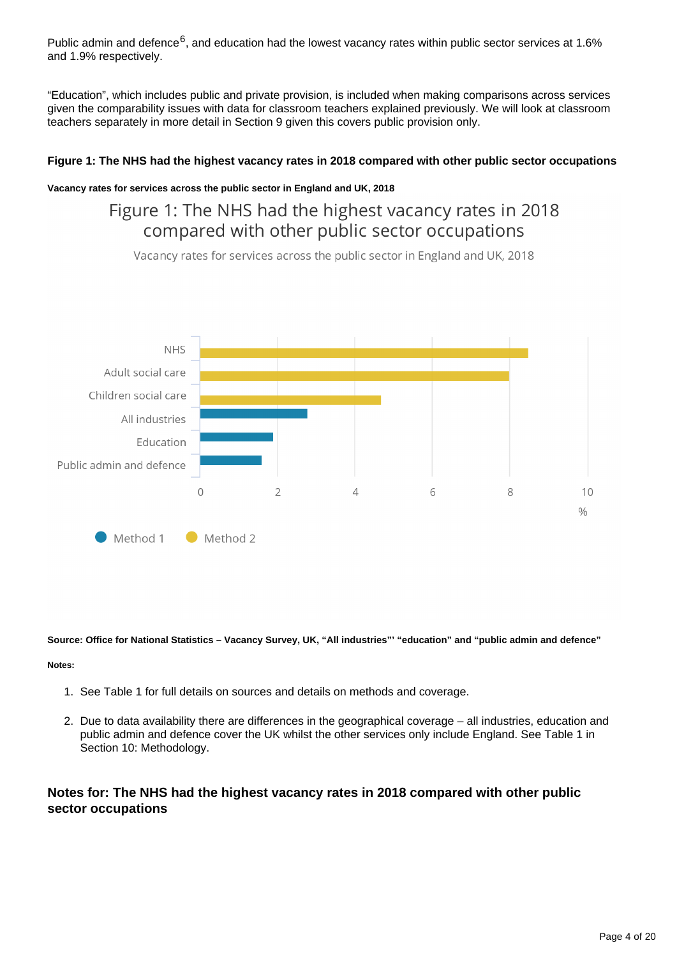Public admin and defence<sup>6</sup>, and education had the lowest vacancy rates within public sector services at 1.6% and 1.9% respectively.

"Education", which includes public and private provision, is included when making comparisons across services given the comparability issues with data for classroom teachers explained previously. We will look at classroom teachers separately in more detail in Section 9 given this covers public provision only.

### **Figure 1: The NHS had the highest vacancy rates in 2018 compared with other public sector occupations**

#### **Vacancy rates for services across the public sector in England and UK, 2018**

## Figure 1: The NHS had the highest vacancy rates in 2018 compared with other public sector occupations

Vacancy rates for services across the public sector in England and UK, 2018



**Source: Office for National Statistics – Vacancy Survey, UK, "All industries"' "education" and "public admin and defence"**

#### **Notes:**

- 1. See Table 1 for full details on sources and details on methods and coverage.
- 2. Due to data availability there are differences in the geographical coverage all industries, education and public admin and defence cover the UK whilst the other services only include England. See Table 1 in Section 10: Methodology.

## **Notes for: The NHS had the highest vacancy rates in 2018 compared with other public sector occupations**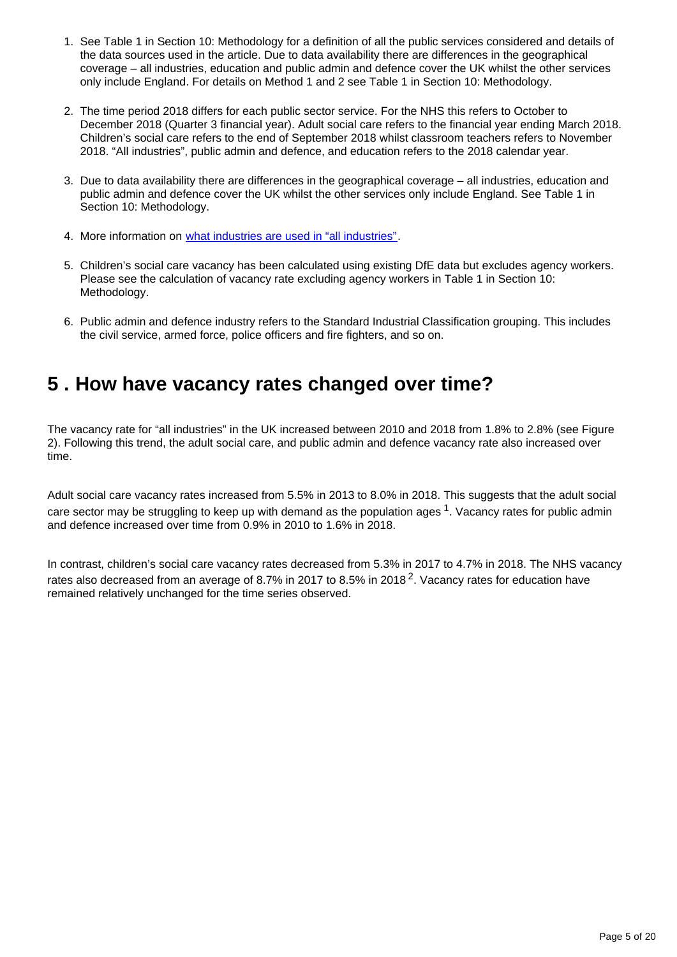- 1. See Table 1 in Section 10: Methodology for a definition of all the public services considered and details of the data sources used in the article. Due to data availability there are differences in the geographical coverage – all industries, education and public admin and defence cover the UK whilst the other services only include England. For details on Method 1 and 2 see Table 1 in Section 10: Methodology.
- 2. The time period 2018 differs for each public sector service. For the NHS this refers to October to December 2018 (Quarter 3 financial year). Adult social care refers to the financial year ending March 2018. Children's social care refers to the end of September 2018 whilst classroom teachers refers to November 2018. "All industries", public admin and defence, and education refers to the 2018 calendar year.
- 3. Due to data availability there are differences in the geographical coverage all industries, education and public admin and defence cover the UK whilst the other services only include England. See Table 1 in Section 10: Methodology.
- 4. More information on [what industries are used in "all industries".](https://www.ons.gov.uk/employmentandlabourmarket/peoplenotinwork/unemployment/datasets/vacanciesbyindustryvacs02)
- 5. Children's social care vacancy has been calculated using existing DfE data but excludes agency workers. Please see the calculation of vacancy rate excluding agency workers in Table 1 in Section 10: Methodology.
- 6. Public admin and defence industry refers to the Standard Industrial Classification grouping. This includes the civil service, armed force, police officers and fire fighters, and so on.

# <span id="page-4-0"></span>**5 . How have vacancy rates changed over time?**

The vacancy rate for "all industries" in the UK increased between 2010 and 2018 from 1.8% to 2.8% (see Figure 2). Following this trend, the adult social care, and public admin and defence vacancy rate also increased over time.

Adult social care vacancy rates increased from 5.5% in 2013 to 8.0% in 2018. This suggests that the adult social care sector may be struggling to keep up with demand as the population ages  $1$ . Vacancy rates for public admin and defence increased over time from 0.9% in 2010 to 1.6% in 2018.

In contrast, children's social care vacancy rates decreased from 5.3% in 2017 to 4.7% in 2018. The NHS vacancy rates also decreased from an average of 8.7% in 2017 to 8.5% in 2018<sup>2</sup>. Vacancy rates for education have remained relatively unchanged for the time series observed.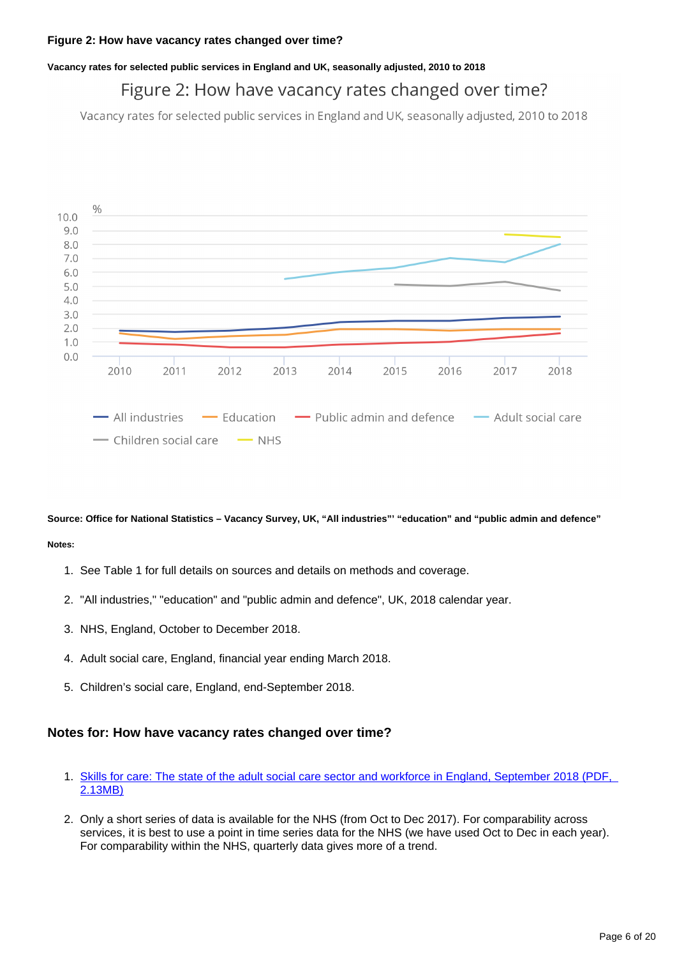#### **Vacancy rates for selected public services in England and UK, seasonally adjusted, 2010 to 2018**

## Figure 2: How have vacancy rates changed over time?

Vacancy rates for selected public services in England and UK, seasonally adjusted, 2010 to 2018



**Source: Office for National Statistics – Vacancy Survey, UK, "All industries"' "education" and "public admin and defence" Notes:**

- 1. See Table 1 for full details on sources and details on methods and coverage.
- 2. "All industries," "education" and "public admin and defence", UK, 2018 calendar year.
- 3. NHS, England, October to December 2018.
- 4. Adult social care, England, financial year ending March 2018.
- 5. Children's social care, England, end-September 2018.

## **Notes for: How have vacancy rates changed over time?**

- 1. [Skills for care: The state of the adult social care sector and workforce in England, September 2018 \(PDF,](https://www.skillsforcare.org.uk/NMDS-SC-intelligence/Workforce-intelligence/documents/State-of-the-adult-social-care-sector/The-state-of-the-adult-social-care-sector-and-workforce-2018.pdf)  [2.13MB\)](https://www.skillsforcare.org.uk/NMDS-SC-intelligence/Workforce-intelligence/documents/State-of-the-adult-social-care-sector/The-state-of-the-adult-social-care-sector-and-workforce-2018.pdf)
- 2. Only a short series of data is available for the NHS (from Oct to Dec 2017). For comparability across services, it is best to use a point in time series data for the NHS (we have used Oct to Dec in each year). For comparability within the NHS, quarterly data gives more of a trend.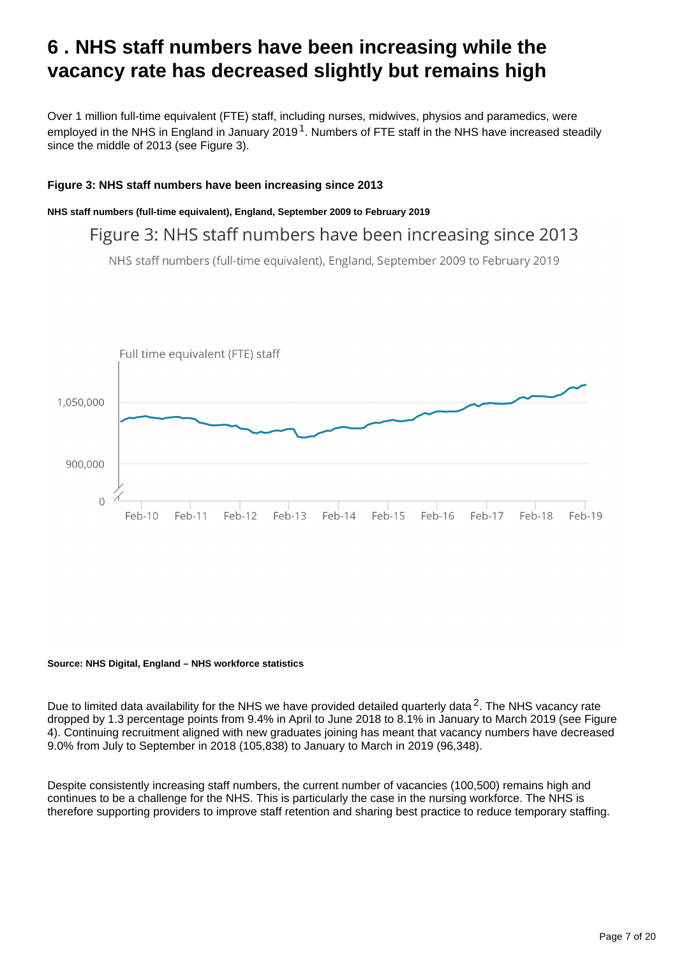# <span id="page-6-0"></span>**6 . NHS staff numbers have been increasing while the vacancy rate has decreased slightly but remains high**

Over 1 million full-time equivalent (FTE) staff, including nurses, midwives, physios and paramedics, were employed in the NHS in England in January 2019<sup>1</sup>. Numbers of FTE staff in the NHS have increased steadily since the middle of 2013 (see Figure 3).

### **Figure 3: NHS staff numbers have been increasing since 2013**

**NHS staff numbers (full-time equivalent), England, September 2009 to February 2019**

Figure 3: NHS staff numbers have been increasing since 2013

NHS staff numbers (full-time equivalent), England, September 2009 to February 2019



#### **Source: NHS Digital, England – NHS workforce statistics**

Due to limited data availability for the NHS we have provided detailed quarterly data  $2$ . The NHS vacancy rate dropped by 1.3 percentage points from 9.4% in April to June 2018 to 8.1% in January to March 2019 (see Figure 4). Continuing recruitment aligned with new graduates joining has meant that vacancy numbers have decreased 9.0% from July to September in 2018 (105,838) to January to March in 2019 (96,348).

Despite consistently increasing staff numbers, the current number of vacancies (100,500) remains high and continues to be a challenge for the NHS. This is particularly the case in the nursing workforce. The NHS is therefore supporting providers to improve staff retention and sharing best practice to reduce temporary staffing.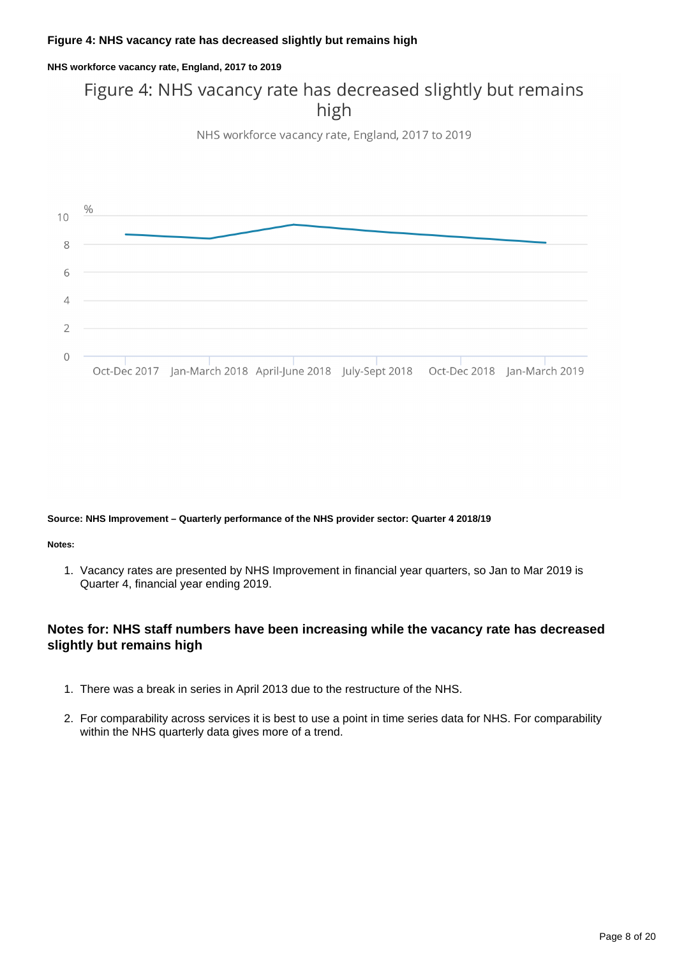#### **Figure 4: NHS vacancy rate has decreased slightly but remains high**

#### **NHS workforce vacancy rate, England, 2017 to 2019**

## Figure 4: NHS vacancy rate has decreased slightly but remains high

NHS workforce vacancy rate, England, 2017 to 2019



#### **Source: NHS Improvement – Quarterly performance of the NHS provider sector: Quarter 4 2018/19**

#### **Notes:**

1. Vacancy rates are presented by NHS Improvement in financial year quarters, so Jan to Mar 2019 is Quarter 4, financial year ending 2019.

## **Notes for: NHS staff numbers have been increasing while the vacancy rate has decreased slightly but remains high**

- 1. There was a break in series in April 2013 due to the restructure of the NHS.
- 2. For comparability across services it is best to use a point in time series data for NHS. For comparability within the NHS quarterly data gives more of a trend.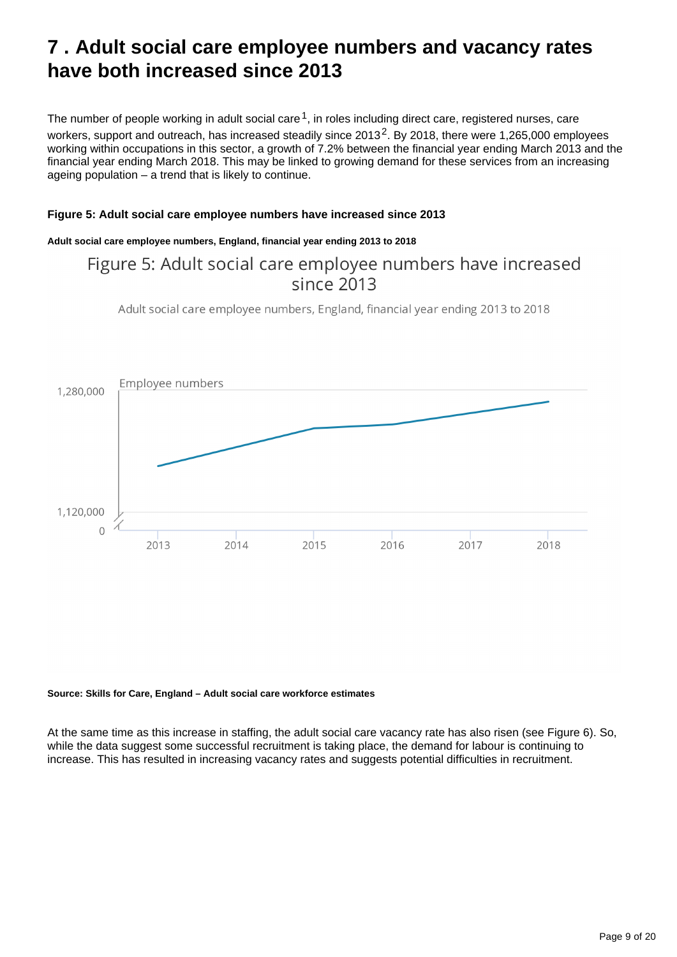# <span id="page-8-0"></span>**7 . Adult social care employee numbers and vacancy rates have both increased since 2013**

The number of people working in adult social care  $1$ , in roles including direct care, registered nurses, care workers, support and outreach, has increased steadily since  $2013^2$ . By 2018, there were 1,265,000 employees working within occupations in this sector, a growth of 7.2% between the financial year ending March 2013 and the financial year ending March 2018. This may be linked to growing demand for these services from an increasing ageing population – a trend that is likely to continue.

### **Figure 5: Adult social care employee numbers have increased since 2013**

#### **Adult social care employee numbers, England, financial year ending 2013 to 2018**

## Figure 5: Adult social care employee numbers have increased  $since 2013$

Adult social care employee numbers, England, financial year ending 2013 to 2018



**Source: Skills for Care, England – Adult social care workforce estimates**

At the same time as this increase in staffing, the adult social care vacancy rate has also risen (see Figure 6). So, while the data suggest some successful recruitment is taking place, the demand for labour is continuing to increase. This has resulted in increasing vacancy rates and suggests potential difficulties in recruitment.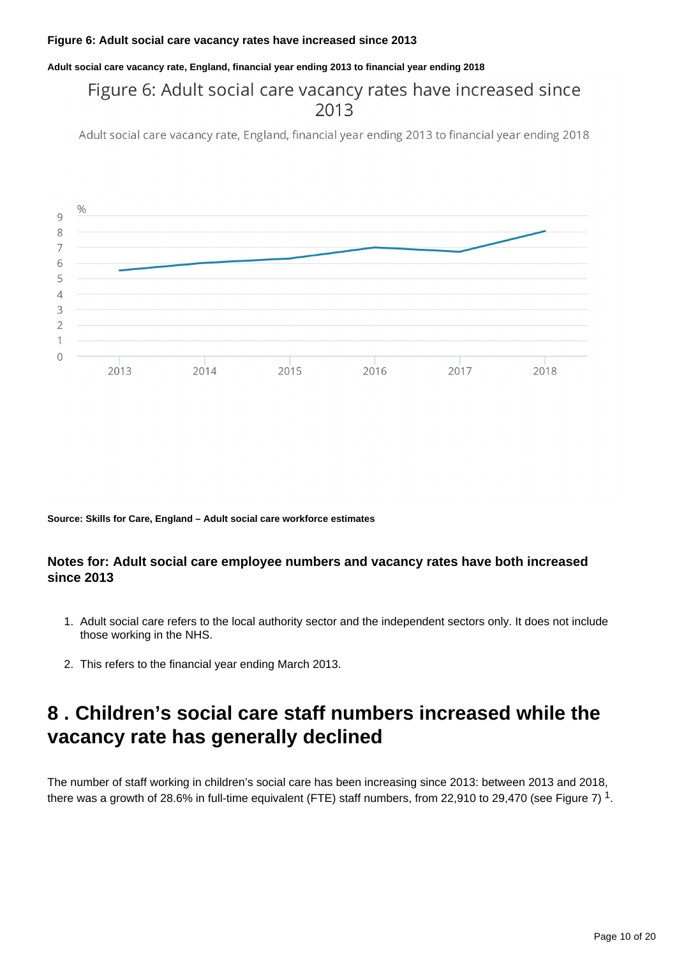#### **Figure 6: Adult social care vacancy rates have increased since 2013**

**Adult social care vacancy rate, England, financial year ending 2013 to financial year ending 2018**

## Figure 6: Adult social care vacancy rates have increased since 2013

Adult social care vacancy rate, England, financial year ending 2013 to financial year ending 2018



**Source: Skills for Care, England – Adult social care workforce estimates**

## **Notes for: Adult social care employee numbers and vacancy rates have both increased since 2013**

- 1. Adult social care refers to the local authority sector and the independent sectors only. It does not include those working in the NHS.
- 2. This refers to the financial year ending March 2013.

# <span id="page-9-0"></span>**8 . Children's social care staff numbers increased while the vacancy rate has generally declined**

The number of staff working in children's social care has been increasing since 2013: between 2013 and 2018, there was a growth of 28.6% in full-time equivalent (FTE) staff numbers, from 22,910 to 29,470 (see Figure 7)  $^{\text{1}}$ .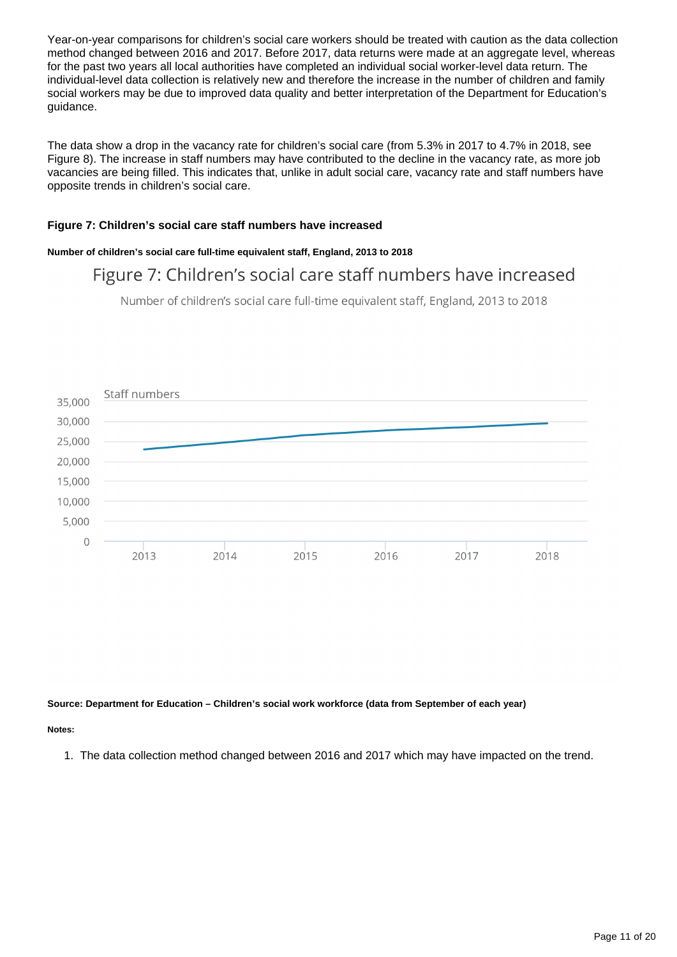Year-on-year comparisons for children's social care workers should be treated with caution as the data collection method changed between 2016 and 2017. Before 2017, data returns were made at an aggregate level, whereas for the past two years all local authorities have completed an individual social worker-level data return. The individual-level data collection is relatively new and therefore the increase in the number of children and family social workers may be due to improved data quality and better interpretation of the Department for Education's guidance.

The data show a drop in the vacancy rate for children's social care (from 5.3% in 2017 to 4.7% in 2018, see Figure 8). The increase in staff numbers may have contributed to the decline in the vacancy rate, as more job vacancies are being filled. This indicates that, unlike in adult social care, vacancy rate and staff numbers have opposite trends in children's social care.

#### **Figure 7: Children's social care staff numbers have increased**

#### **Number of children's social care full-time equivalent staff, England, 2013 to 2018**

## Figure 7: Children's social care staff numbers have increased

Number of children's social care full-time equivalent staff, England, 2013 to 2018



**Source: Department for Education – Children's social work workforce (data from September of each year)**

#### **Notes:**

1. The data collection method changed between 2016 and 2017 which may have impacted on the trend.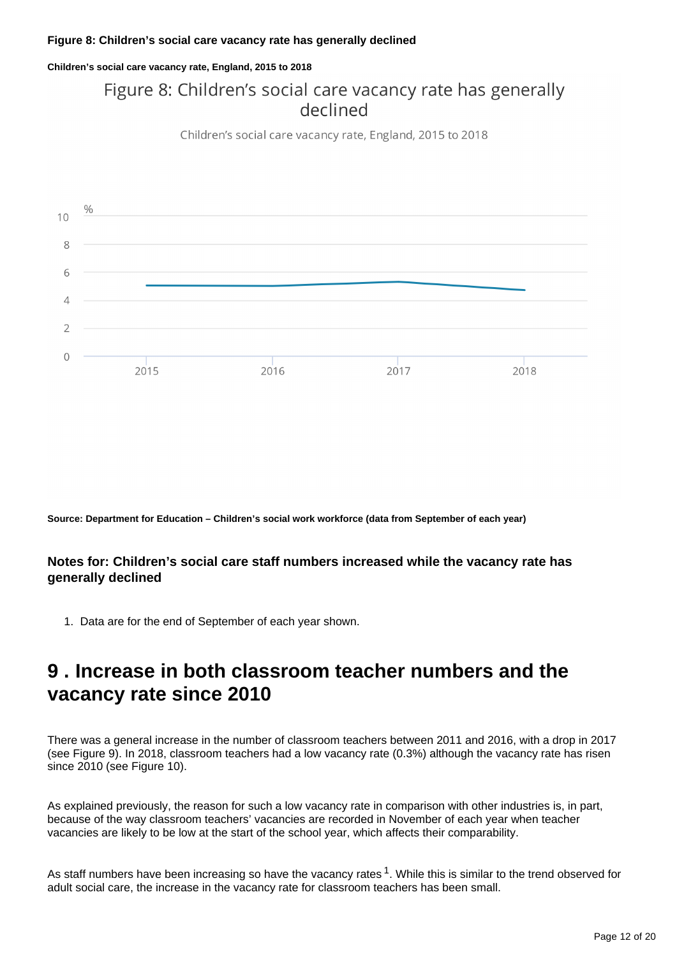**Children's social care vacancy rate, England, 2015 to 2018**

# Figure 8: Children's social care vacancy rate has generally declined

Children's social care vacancy rate, England, 2015 to 2018



**Source: Department for Education – Children's social work workforce (data from September of each year)**

## **Notes for: Children's social care staff numbers increased while the vacancy rate has generally declined**

1. Data are for the end of September of each year shown.

# <span id="page-11-0"></span>**9 . Increase in both classroom teacher numbers and the vacancy rate since 2010**

There was a general increase in the number of classroom teachers between 2011 and 2016, with a drop in 2017 (see Figure 9). In 2018, classroom teachers had a low vacancy rate (0.3%) although the vacancy rate has risen since 2010 (see Figure 10).

As explained previously, the reason for such a low vacancy rate in comparison with other industries is, in part, because of the way classroom teachers' vacancies are recorded in November of each year when teacher vacancies are likely to be low at the start of the school year, which affects their comparability.

As staff numbers have been increasing so have the vacancy rates  $1$ . While this is similar to the trend observed for adult social care, the increase in the vacancy rate for classroom teachers has been small.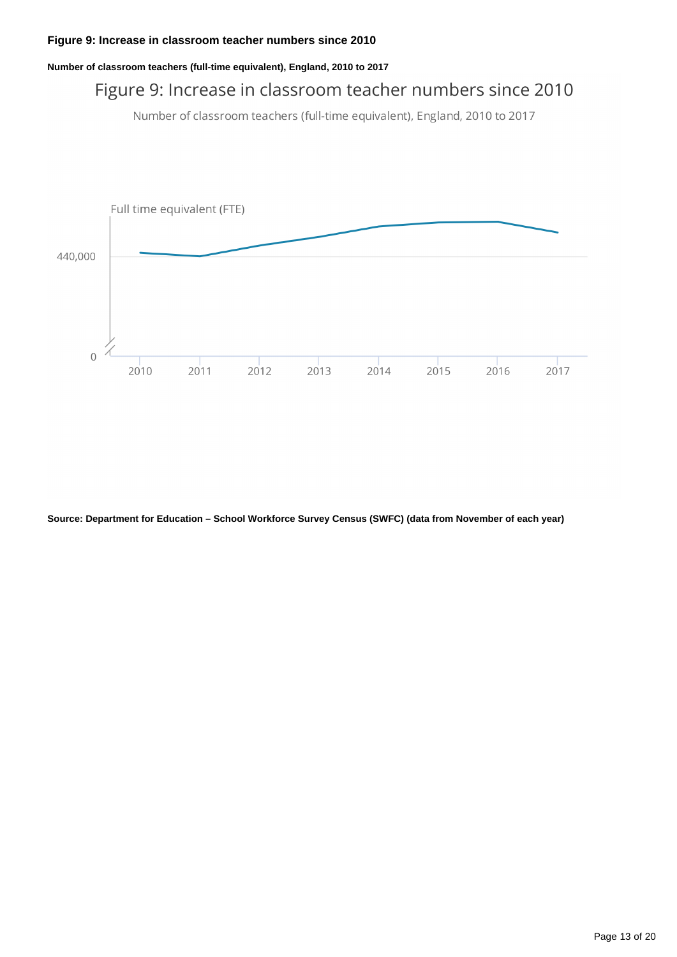#### **Number of classroom teachers (full-time equivalent), England, 2010 to 2017**

# Figure 9: Increase in classroom teacher numbers since 2010

Number of classroom teachers (full-time equivalent), England, 2010 to 2017



**Source: Department for Education – School Workforce Survey Census (SWFC) (data from November of each year)**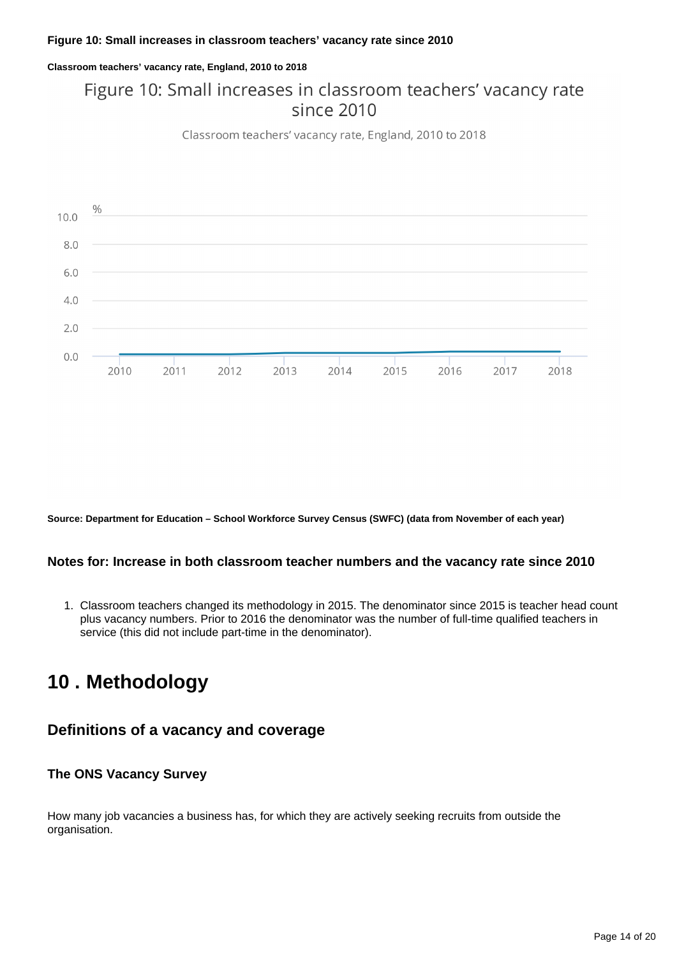#### **Classroom teachers' vacancy rate, England, 2010 to 2018**

## Figure 10: Small increases in classroom teachers' vacancy rate since 2010

Classroom teachers' vacancy rate, England, 2010 to 2018



**Source: Department for Education – School Workforce Survey Census (SWFC) (data from November of each year)**

## **Notes for: Increase in both classroom teacher numbers and the vacancy rate since 2010**

1. Classroom teachers changed its methodology in 2015. The denominator since 2015 is teacher head count plus vacancy numbers. Prior to 2016 the denominator was the number of full-time qualified teachers in service (this did not include part-time in the denominator).

# <span id="page-13-0"></span>**10 . Methodology**

## **Definitions of a vacancy and coverage**

## **The ONS Vacancy Survey**

How many job vacancies a business has, for which they are actively seeking recruits from outside the organisation.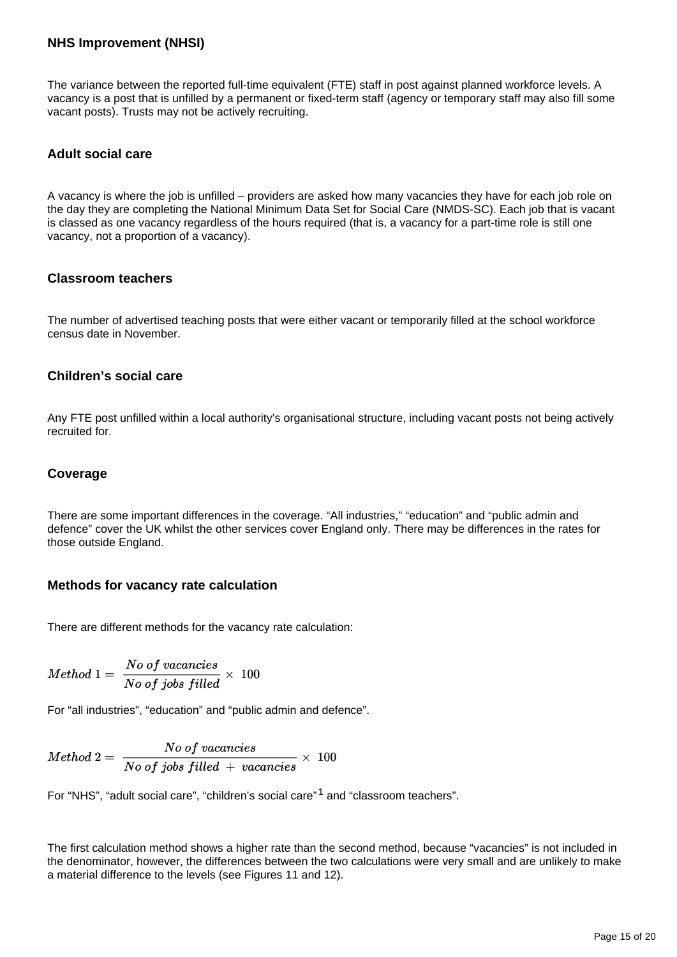## **NHS Improvement (NHSI)**

The variance between the reported full-time equivalent (FTE) staff in post against planned workforce levels. A vacancy is a post that is unfilled by a permanent or fixed-term staff (agency or temporary staff may also fill some vacant posts). Trusts may not be actively recruiting.

## **Adult social care**

A vacancy is where the job is unfilled – providers are asked how many vacancies they have for each job role on the day they are completing the National Minimum Data Set for Social Care (NMDS-SC). Each job that is vacant is classed as one vacancy regardless of the hours required (that is, a vacancy for a part-time role is still one vacancy, not a proportion of a vacancy).

#### **Classroom teachers**

The number of advertised teaching posts that were either vacant or temporarily filled at the school workforce census date in November.

## **Children's social care**

Any FTE post unfilled within a local authority's organisational structure, including vacant posts not being actively recruited for.

### **Coverage**

There are some important differences in the coverage. "All industries," "education" and "public admin and defence" cover the UK whilst the other services cover England only. There may be differences in the rates for those outside England.

## **Methods for vacancy rate calculation**

There are different methods for the vacancy rate calculation:

$$
Method\ 1=\ \frac{No\ of\ vacancies}{No\ of\ jobs\ filled}\times\ 100
$$

For "all industries", "education" and "public admin and defence".

$$
Method\ 2=\ \frac{No\ of\ vacancies}{No\ of\ jobs\ filled\ +\ vacancies}\ \times\ 100
$$

For "NHS", "adult social care", "children's social care"<sup>1</sup> and "classroom teachers".

The first calculation method shows a higher rate than the second method, because "vacancies" is not included in the denominator, however, the differences between the two calculations were very small and are unlikely to make a material difference to the levels (see Figures 11 and 12).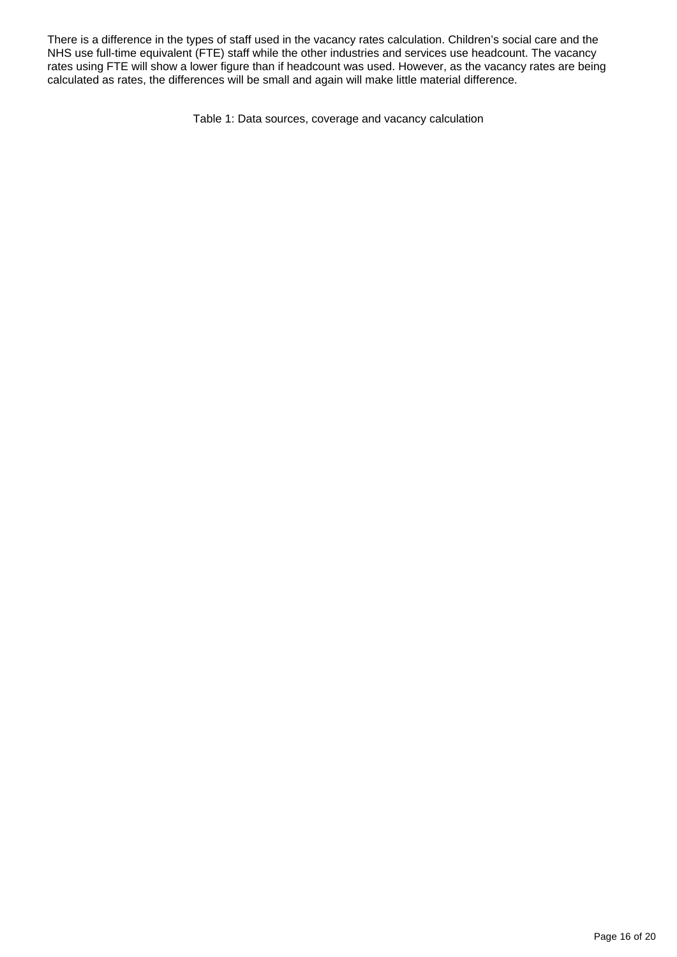There is a difference in the types of staff used in the vacancy rates calculation. Children's social care and the NHS use full-time equivalent (FTE) staff while the other industries and services use headcount. The vacancy rates using FTE will show a lower figure than if headcount was used. However, as the vacancy rates are being calculated as rates, the differences will be small and again will make little material difference.

Table 1: Data sources, coverage and vacancy calculation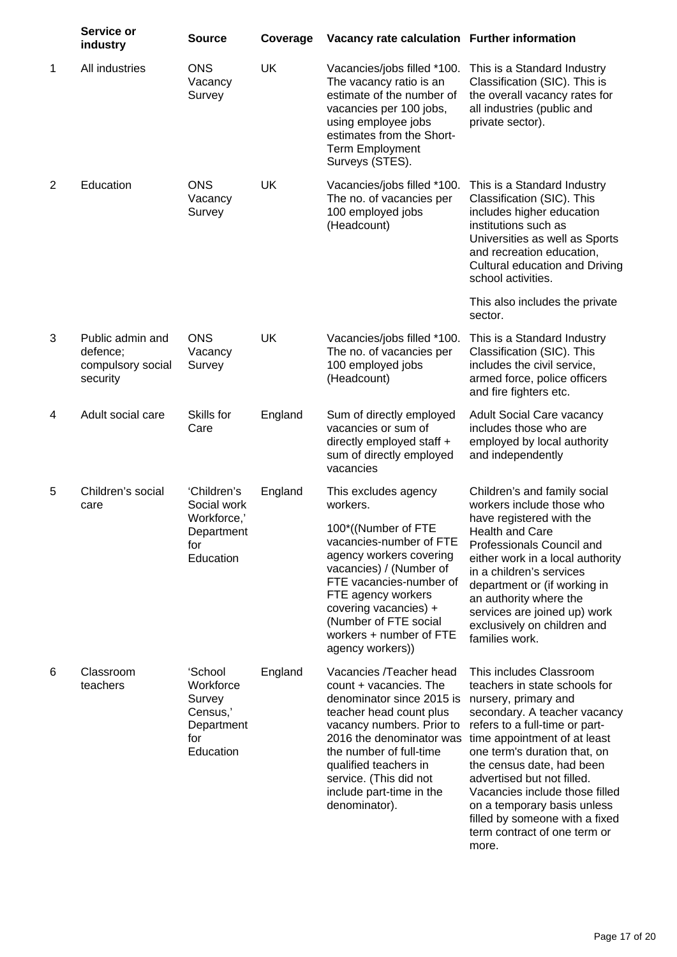|   | Service or<br>industry                                        | <b>Source</b>                                                                | Coverage  | Vacancy rate calculation Further information                                                                                                                                                                                                                                                  |                                                                                                                                                                                                                                                                                                                                                                                                                           |
|---|---------------------------------------------------------------|------------------------------------------------------------------------------|-----------|-----------------------------------------------------------------------------------------------------------------------------------------------------------------------------------------------------------------------------------------------------------------------------------------------|---------------------------------------------------------------------------------------------------------------------------------------------------------------------------------------------------------------------------------------------------------------------------------------------------------------------------------------------------------------------------------------------------------------------------|
| 1 | All industries                                                | <b>ONS</b><br>Vacancy<br>Survey                                              | UK        | Vacancies/jobs filled *100.<br>The vacancy ratio is an<br>estimate of the number of<br>vacancies per 100 jobs,<br>using employee jobs<br>estimates from the Short-<br><b>Term Employment</b><br>Surveys (STES).                                                                               | This is a Standard Industry<br>Classification (SIC). This is<br>the overall vacancy rates for<br>all industries (public and<br>private sector).                                                                                                                                                                                                                                                                           |
| 2 | Education                                                     | <b>ONS</b><br>Vacancy<br>Survey                                              | UK        | Vacancies/jobs filled *100.<br>The no. of vacancies per<br>100 employed jobs<br>(Headcount)                                                                                                                                                                                                   | This is a Standard Industry<br>Classification (SIC). This<br>includes higher education<br>institutions such as<br>Universities as well as Sports<br>and recreation education,<br>Cultural education and Driving<br>school activities.                                                                                                                                                                                     |
|   |                                                               |                                                                              |           |                                                                                                                                                                                                                                                                                               | This also includes the private<br>sector.                                                                                                                                                                                                                                                                                                                                                                                 |
| 3 | Public admin and<br>defence;<br>compulsory social<br>security | <b>ONS</b><br>Vacancy<br>Survey                                              | <b>UK</b> | Vacancies/jobs filled *100.<br>The no. of vacancies per<br>100 employed jobs<br>(Headcount)                                                                                                                                                                                                   | This is a Standard Industry<br>Classification (SIC). This<br>includes the civil service,<br>armed force, police officers<br>and fire fighters etc.                                                                                                                                                                                                                                                                        |
| 4 | Adult social care                                             | Skills for<br>Care                                                           | England   | Sum of directly employed<br>vacancies or sum of<br>directly employed staff +<br>sum of directly employed<br>vacancies                                                                                                                                                                         | Adult Social Care vacancy<br>includes those who are<br>employed by local authority<br>and independently                                                                                                                                                                                                                                                                                                                   |
| 5 | Children's social<br>care                                     | 'Children's<br>Social work<br>Workforce,'<br>Department<br>for<br>Education  | England   | This excludes agency<br>workers.<br>100*((Number of FTE<br>vacancies-number of FTE<br>agency workers covering<br>vacancies) / (Number of<br>FTE vacancies-number of<br>FTE agency workers<br>covering vacancies) +<br>(Number of FTE social<br>workers + number of FTE<br>agency workers))    | Children's and family social<br>workers include those who<br>have registered with the<br>Health and Care<br>Professionals Council and<br>either work in a local authority<br>in a children's services<br>department or (if working in<br>an authority where the<br>services are joined up) work<br>exclusively on children and<br>families work.                                                                          |
| 6 | Classroom<br>teachers                                         | 'School<br>Workforce<br>Survey<br>Census,'<br>Department<br>for<br>Education | England   | Vacancies /Teacher head<br>count + vacancies. The<br>denominator since 2015 is<br>teacher head count plus<br>vacancy numbers. Prior to<br>2016 the denominator was<br>the number of full-time<br>qualified teachers in<br>service. (This did not<br>include part-time in the<br>denominator). | This includes Classroom<br>teachers in state schools for<br>nursery, primary and<br>secondary. A teacher vacancy<br>refers to a full-time or part-<br>time appointment of at least<br>one term's duration that, on<br>the census date, had been<br>advertised but not filled.<br>Vacancies include those filled<br>on a temporary basis unless<br>filled by someone with a fixed<br>term contract of one term or<br>more. |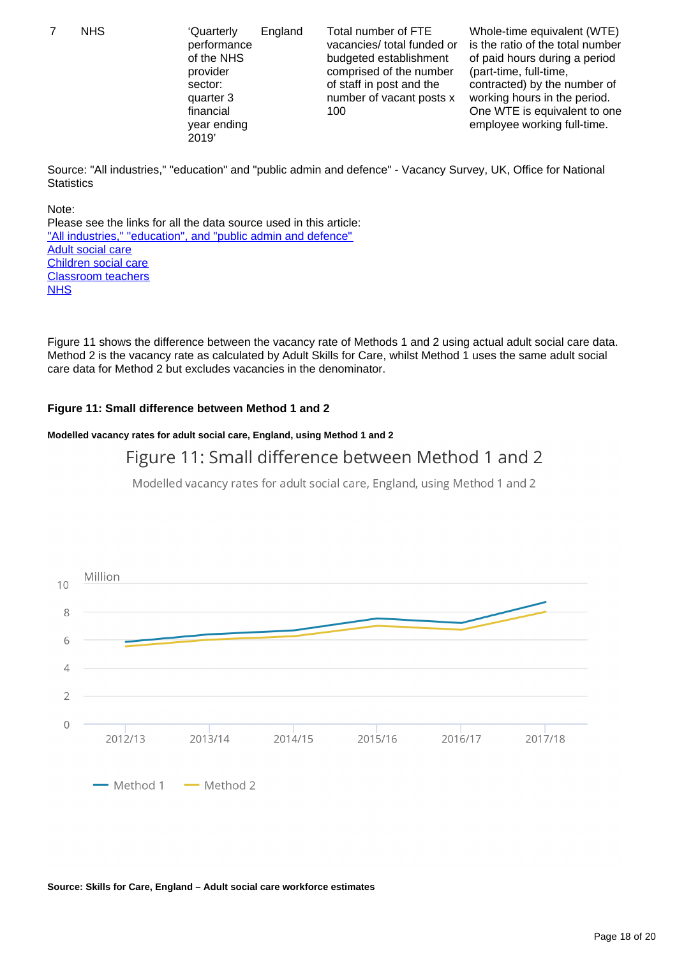7 NHS 'Quarterly

performance of the NHS provider sector: quarter 3 financial year ending 2019' 100

England Total number of FTE vacancies/ total funded or budgeted establishment comprised of the number of staff in post and the number of vacant posts x

Whole-time equivalent (WTE) is the ratio of the total number of paid hours during a period (part-time, full-time, contracted) by the number of working hours in the period. One WTE is equivalent to one employee working full-time.

Source: "All industries," "education" and "public admin and defence" - Vacancy Survey, UK, Office for National **Statistics** 

Note: Please see the links for all the data source used in this article: ["All industries," "education", and "public admin and defence"](https://www.ons.gov.uk/employmentandlabourmarket/peopleinwork/employmentandemployeetypes/bulletins/jobsandvacanciesintheuk/march2019) [Adult social care](https://www.skillsforcare.org.uk/NMDS-SC-intelligence/Workforce-intelligence/publications/Workforce-estimates.aspx) [Children social care](https://www.gov.uk/government/statistics/childrens-social-work-workforce-2018) [Classroom teachers](https://www.gov.uk/government/statistics/school-workforce-in-england-november-2018) **[NHS](https://improvement.nhs.uk/resources/quarterly-performance-nhs-provider-sector-quarter-4-201819/)** 

Figure 11 shows the difference between the vacancy rate of Methods 1 and 2 using actual adult social care data. Method 2 is the vacancy rate as calculated by Adult Skills for Care, whilst Method 1 uses the same adult social care data for Method 2 but excludes vacancies in the denominator.

### **Figure 11: Small difference between Method 1 and 2**

#### **Modelled vacancy rates for adult social care, England, using Method 1 and 2**

## Figure 11: Small difference between Method 1 and 2

Modelled vacancy rates for adult social care, England, using Method 1 and 2



#### **Source: Skills for Care, England – Adult social care workforce estimates**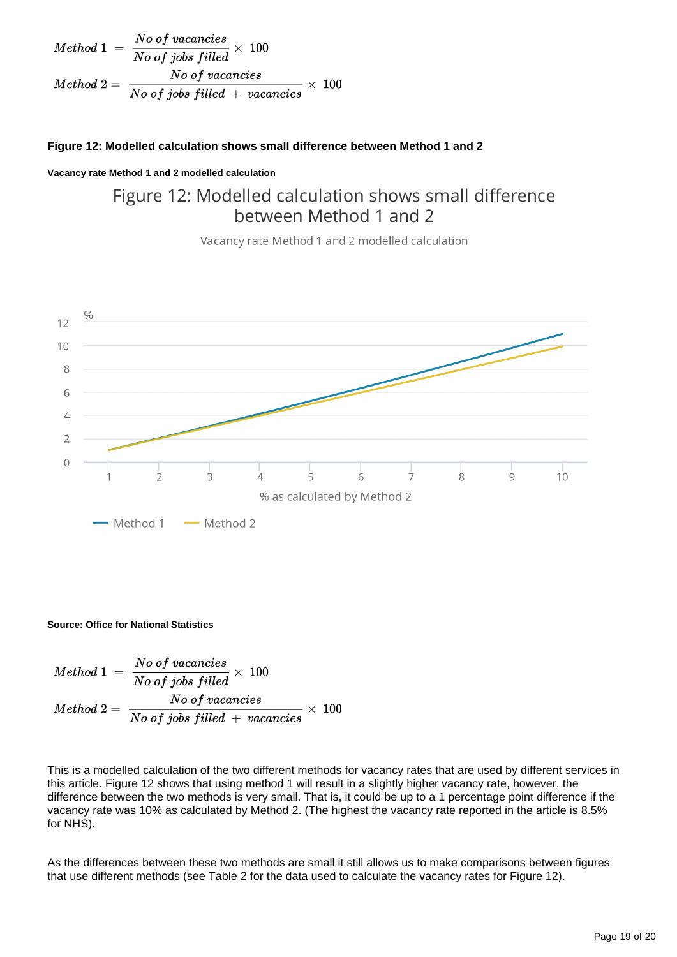| $Method 1 = \frac{No \text{ of vacancies}}{No \text{ of jobs filled}} \times 100$             |
|-----------------------------------------------------------------------------------------------|
| $Method 2 = \frac{No \text{ of vacancies}}{No \text{ of jobs filled} + vacancies} \times 100$ |

### **Figure 12: Modelled calculation shows small difference between Method 1 and 2**

#### **Vacancy rate Method 1 and 2 modelled calculation**

## Figure 12: Modelled calculation shows small difference between Method 1 and 2

Vacancy rate Method 1 and 2 modelled calculation



#### **Source: Office for National Statistics**

$$
Method\ 1\ =\ \frac{No\ of\ vaccines}{No\ of\ jobs\ filled}\times\ 100
$$
\n
$$
Method\ 2=\ \frac{No\ of\ vaccines}{No\ of\ jobs\ filled\ +\ vaccines}\times\ 100
$$

This is a modelled calculation of the two different methods for vacancy rates that are used by different services in this article. Figure 12 shows that using method 1 will result in a slightly higher vacancy rate, however, the difference between the two methods is very small. That is, it could be up to a 1 percentage point difference if the vacancy rate was 10% as calculated by Method 2. (The highest the vacancy rate reported in the article is 8.5% for NHS).

As the differences between these two methods are small it still allows us to make comparisons between figures that use different methods (see Table 2 for the data used to calculate the vacancy rates for Figure 12).